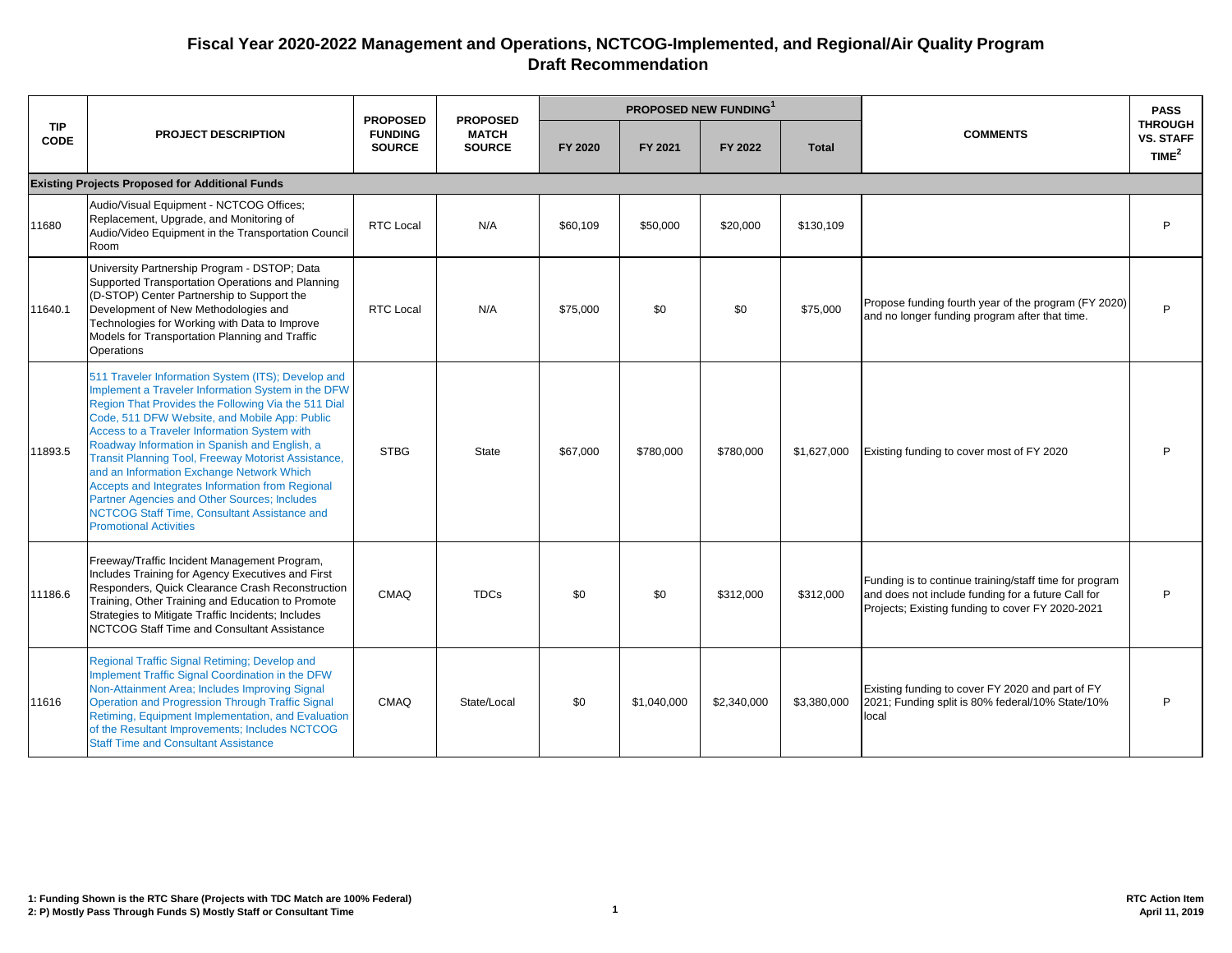|                           |                                                                                                                                                                                                                                                                                                                                                                                                                                                                                                                                                                                                                   | <b>PROPOSED</b>                 | <b>PROPOSED</b>               | PROPOSED NEW FUNDING1 |             |             |              |                                                                                                                                                                  | <b>PASS</b>                                             |
|---------------------------|-------------------------------------------------------------------------------------------------------------------------------------------------------------------------------------------------------------------------------------------------------------------------------------------------------------------------------------------------------------------------------------------------------------------------------------------------------------------------------------------------------------------------------------------------------------------------------------------------------------------|---------------------------------|-------------------------------|-----------------------|-------------|-------------|--------------|------------------------------------------------------------------------------------------------------------------------------------------------------------------|---------------------------------------------------------|
| <b>TIP</b><br><b>CODE</b> | <b>PROJECT DESCRIPTION</b>                                                                                                                                                                                                                                                                                                                                                                                                                                                                                                                                                                                        | <b>FUNDING</b><br><b>SOURCE</b> | <b>MATCH</b><br><b>SOURCE</b> | FY 2020               | FY 2021     | FY 2022     | <b>Total</b> | <b>COMMENTS</b>                                                                                                                                                  | <b>THROUGH</b><br><b>VS. STAFF</b><br>TIME <sup>2</sup> |
|                           | <b>Existing Projects Proposed for Additional Funds</b>                                                                                                                                                                                                                                                                                                                                                                                                                                                                                                                                                            |                                 |                               |                       |             |             |              |                                                                                                                                                                  |                                                         |
| 11680                     | Audio/Visual Equipment - NCTCOG Offices;<br>Replacement, Upgrade, and Monitoring of<br>Audio/Video Equipment in the Transportation Council<br>Room                                                                                                                                                                                                                                                                                                                                                                                                                                                                | <b>RTC Local</b>                | N/A                           | \$60,109              | \$50,000    | \$20,000    | \$130,109    |                                                                                                                                                                  | P                                                       |
| 11640.1                   | University Partnership Program - DSTOP; Data<br>Supported Transportation Operations and Planning<br>(D-STOP) Center Partnership to Support the<br>Development of New Methodologies and<br>Technologies for Working with Data to Improve<br>Models for Transportation Planning and Traffic<br>Operations                                                                                                                                                                                                                                                                                                           | <b>RTC Local</b>                | N/A                           | \$75,000              | \$0         | \$0         | \$75,000     | Propose funding fourth year of the program (FY 2020)<br>and no longer funding program after that time.                                                           | P                                                       |
| 11893.5                   | 511 Traveler Information System (ITS); Develop and<br>Implement a Traveler Information System in the DFW<br>Region That Provides the Following Via the 511 Dial<br>Code, 511 DFW Website, and Mobile App: Public<br>Access to a Traveler Information System with<br>Roadway Information in Spanish and English, a<br><b>Transit Planning Tool, Freeway Motorist Assistance,</b><br>and an Information Exchange Network Which<br>Accepts and Integrates Information from Regional<br>Partner Agencies and Other Sources; Includes<br>NCTCOG Staff Time, Consultant Assistance and<br><b>Promotional Activities</b> | <b>STBG</b>                     | <b>State</b>                  | \$67,000              | \$780,000   | \$780,000   | \$1,627,000  | Existing funding to cover most of FY 2020                                                                                                                        | P                                                       |
| 11186.6                   | Freeway/Traffic Incident Management Program,<br>Includes Training for Agency Executives and First<br>Responders, Quick Clearance Crash Reconstruction<br>Training, Other Training and Education to Promote<br>Strategies to Mitigate Traffic Incidents; Includes<br>NCTCOG Staff Time and Consultant Assistance                                                                                                                                                                                                                                                                                                   | CMAQ                            | <b>TDCs</b>                   | \$0                   | \$0         | \$312,000   | \$312,000    | Funding is to continue training/staff time for program<br>and does not include funding for a future Call for<br>Projects; Existing funding to cover FY 2020-2021 | P                                                       |
| 11616                     | Regional Traffic Signal Retiming; Develop and<br>Implement Traffic Signal Coordination in the DFW<br>Non-Attainment Area; Includes Improving Signal<br>Operation and Progression Through Traffic Signal<br>Retiming, Equipment Implementation, and Evaluation<br>of the Resultant Improvements; Includes NCTCOG<br><b>Staff Time and Consultant Assistance</b>                                                                                                                                                                                                                                                    | CMAQ                            | State/Local                   | \$0                   | \$1,040,000 | \$2,340,000 | \$3,380,000  | Existing funding to cover FY 2020 and part of FY<br>2021; Funding split is 80% federal/10% State/10%<br>local                                                    | P                                                       |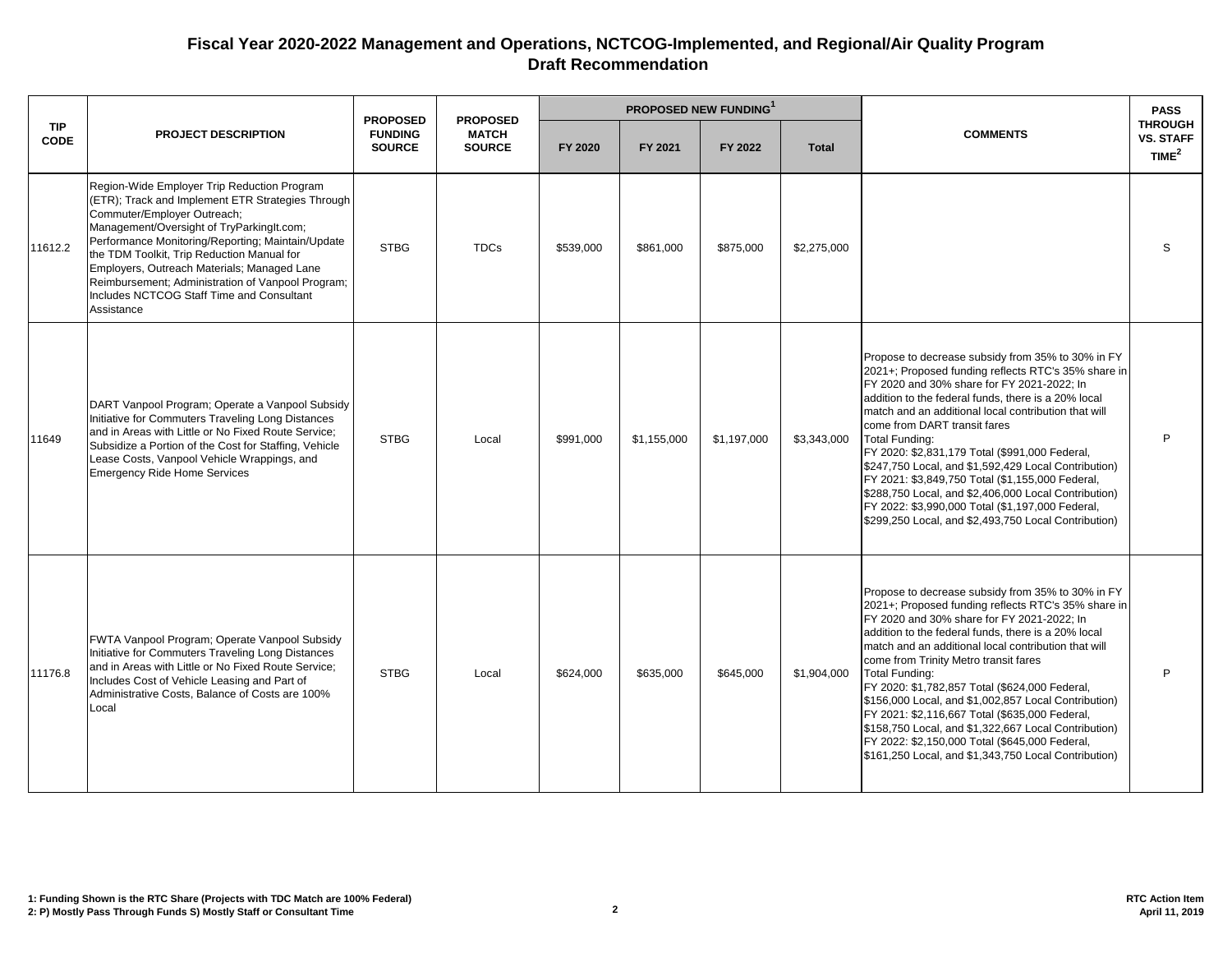|                    |                                                                                                                                                                                                                                                                                                                                                                                                                                                | <b>PROPOSED</b>                 | <b>PROPOSED</b>               | <b>PROPOSED NEW FUNDING</b> |             |             |              |                                                                                                                                                                                                                                                                                                                                                                                                                                                                                                                                                                                                                                                                       | <b>PASS</b>                                      |
|--------------------|------------------------------------------------------------------------------------------------------------------------------------------------------------------------------------------------------------------------------------------------------------------------------------------------------------------------------------------------------------------------------------------------------------------------------------------------|---------------------------------|-------------------------------|-----------------------------|-------------|-------------|--------------|-----------------------------------------------------------------------------------------------------------------------------------------------------------------------------------------------------------------------------------------------------------------------------------------------------------------------------------------------------------------------------------------------------------------------------------------------------------------------------------------------------------------------------------------------------------------------------------------------------------------------------------------------------------------------|--------------------------------------------------|
| TIP<br><b>CODE</b> | <b>PROJECT DESCRIPTION</b>                                                                                                                                                                                                                                                                                                                                                                                                                     | <b>FUNDING</b><br><b>SOURCE</b> | <b>MATCH</b><br><b>SOURCE</b> | FY 2020                     | FY 2021     | FY 2022     | <b>Total</b> | <b>COMMENTS</b>                                                                                                                                                                                                                                                                                                                                                                                                                                                                                                                                                                                                                                                       | <b>THROUGH</b><br>VS. STAFF<br>TIME <sup>2</sup> |
| 11612.2            | Region-Wide Employer Trip Reduction Program<br>(ETR); Track and Implement ETR Strategies Through<br>Commuter/Employer Outreach;<br>Management/Oversight of TryParkingIt.com;<br>Performance Monitoring/Reporting; Maintain/Update<br>the TDM Toolkit, Trip Reduction Manual for<br>Employers, Outreach Materials; Managed Lane<br>Reimbursement; Administration of Vanpool Program;<br>Includes NCTCOG Staff Time and Consultant<br>Assistance | <b>STBG</b>                     | <b>TDCs</b>                   | \$539,000                   | \$861,000   | \$875,000   | \$2,275,000  |                                                                                                                                                                                                                                                                                                                                                                                                                                                                                                                                                                                                                                                                       | S                                                |
| 11649              | DART Vanpool Program; Operate a Vanpool Subsidy<br>Initiative for Commuters Traveling Long Distances<br>and in Areas with Little or No Fixed Route Service:<br>Subsidize a Portion of the Cost for Staffing, Vehicle<br>Lease Costs, Vanpool Vehicle Wrappings, and<br><b>Emergency Ride Home Services</b>                                                                                                                                     | <b>STBG</b>                     | Local                         | \$991,000                   | \$1,155,000 | \$1,197,000 | \$3,343,000  | Propose to decrease subsidy from 35% to 30% in FY<br>2021+; Proposed funding reflects RTC's 35% share in<br>FY 2020 and 30% share for FY 2021-2022; In<br>addition to the federal funds, there is a 20% local<br>match and an additional local contribution that will<br>come from DART transit fares<br>Total Funding:<br>FY 2020: \$2,831,179 Total (\$991,000 Federal,<br>\$247,750 Local, and \$1,592,429 Local Contribution)<br>FY 2021: \$3,849,750 Total (\$1,155,000 Federal,<br>\$288,750 Local, and \$2,406,000 Local Contribution)<br>FY 2022: \$3,990,000 Total (\$1,197,000 Federal,<br>\$299,250 Local, and \$2,493,750 Local Contribution)             | P                                                |
| 11176.8            | FWTA Vanpool Program; Operate Vanpool Subsidy<br>Initiative for Commuters Traveling Long Distances<br>and in Areas with Little or No Fixed Route Service;<br>Includes Cost of Vehicle Leasing and Part of<br>Administrative Costs, Balance of Costs are 100%<br>Local                                                                                                                                                                          | <b>STBG</b>                     | Local                         | \$624,000                   | \$635,000   | \$645,000   | \$1,904,000  | Propose to decrease subsidy from 35% to 30% in FY<br>2021+; Proposed funding reflects RTC's 35% share in<br>FY 2020 and 30% share for FY 2021-2022; In<br>addition to the federal funds, there is a 20% local<br>match and an additional local contribution that will<br>come from Trinity Metro transit fares<br><b>Total Funding:</b><br>FY 2020: \$1,782,857 Total (\$624,000 Federal,<br>\$156,000 Local, and \$1,002,857 Local Contribution)<br>FY 2021: \$2,116,667 Total (\$635,000 Federal,<br>\$158,750 Local, and \$1,322,667 Local Contribution)<br>FY 2022: \$2,150,000 Total (\$645,000 Federal,<br>\$161,250 Local, and \$1,343,750 Local Contribution) | P                                                |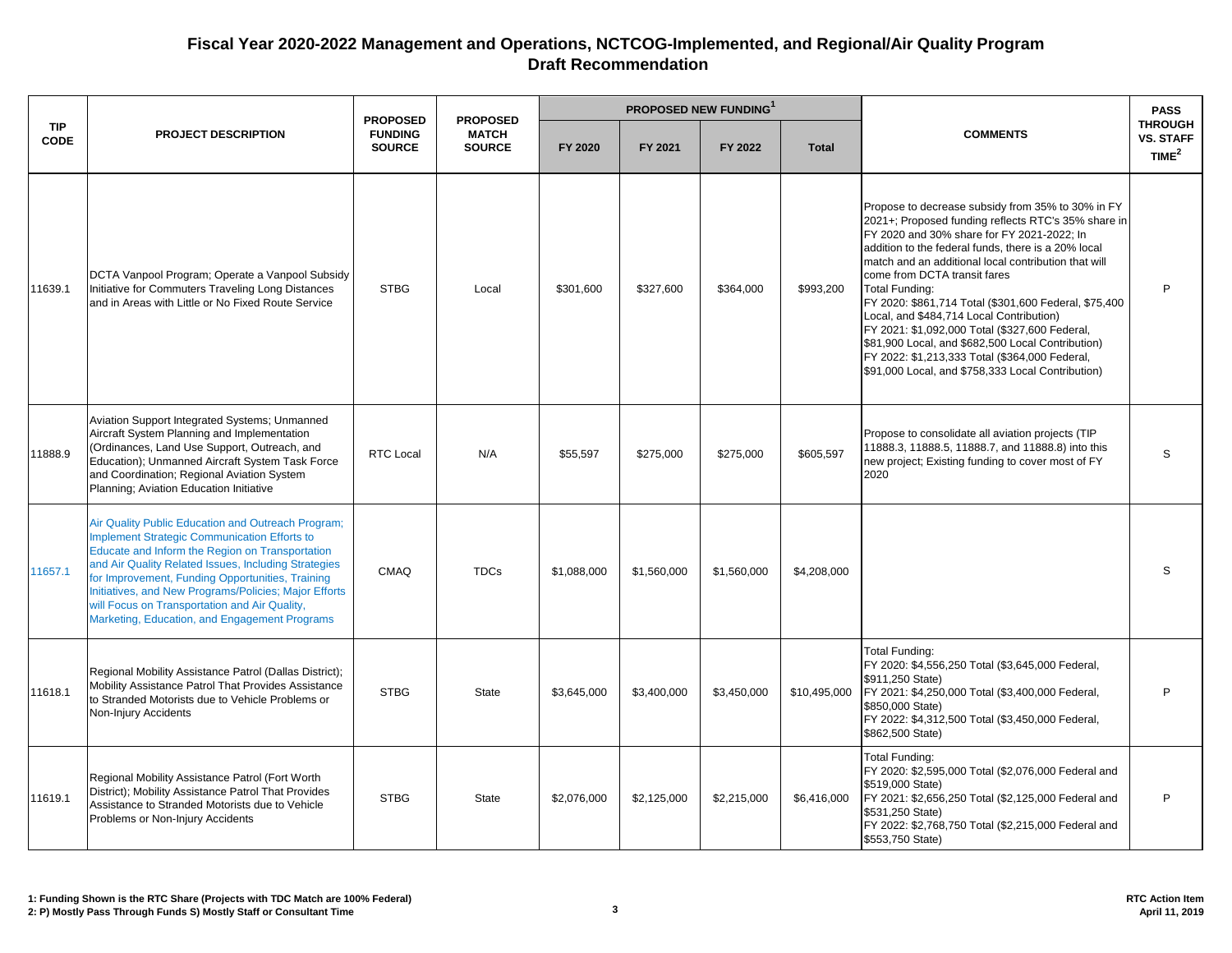|                           |                                                                                                                                                                                                                                                                                                                                                                                                                                     | <b>PROPOSED NEW FUNDING</b><br><b>PROPOSED</b><br><b>PROPOSED</b> |                               |             |             |             |              |                                                                                                                                                                                                                                                                                                                                                                                                                                                                                                                                                                                                                                                   | <b>PASS</b>                                     |
|---------------------------|-------------------------------------------------------------------------------------------------------------------------------------------------------------------------------------------------------------------------------------------------------------------------------------------------------------------------------------------------------------------------------------------------------------------------------------|-------------------------------------------------------------------|-------------------------------|-------------|-------------|-------------|--------------|---------------------------------------------------------------------------------------------------------------------------------------------------------------------------------------------------------------------------------------------------------------------------------------------------------------------------------------------------------------------------------------------------------------------------------------------------------------------------------------------------------------------------------------------------------------------------------------------------------------------------------------------------|-------------------------------------------------|
| <b>TIP</b><br><b>CODE</b> | <b>PROJECT DESCRIPTION</b>                                                                                                                                                                                                                                                                                                                                                                                                          | <b>FUNDING</b><br><b>SOURCE</b>                                   | <b>MATCH</b><br><b>SOURCE</b> | FY 2020     | FY 2021     | FY 2022     | <b>Total</b> | <b>COMMENTS</b>                                                                                                                                                                                                                                                                                                                                                                                                                                                                                                                                                                                                                                   | <b>THROUGH</b><br><b>VS. STAFF</b><br>TIME $^2$ |
| 11639.1                   | DCTA Vanpool Program; Operate a Vanpool Subsidy<br>Initiative for Commuters Traveling Long Distances<br>and in Areas with Little or No Fixed Route Service                                                                                                                                                                                                                                                                          | <b>STBG</b>                                                       | Local                         | \$301,600   | \$327,600   | \$364,000   | \$993,200    | Propose to decrease subsidy from 35% to 30% in FY<br>2021+; Proposed funding reflects RTC's 35% share in<br>FY 2020 and 30% share for FY 2021-2022: In<br>addition to the federal funds, there is a 20% local<br>match and an additional local contribution that will<br>come from DCTA transit fares<br><b>Total Funding:</b><br>FY 2020: \$861,714 Total (\$301,600 Federal, \$75,400<br>Local, and \$484,714 Local Contribution)<br>FY 2021: \$1,092,000 Total (\$327,600 Federal,<br>\$81,900 Local, and \$682,500 Local Contribution)<br>FY 2022: \$1,213,333 Total (\$364,000 Federal,<br>\$91,000 Local, and \$758,333 Local Contribution) | P                                               |
| 11888.9                   | Aviation Support Integrated Systems; Unmanned<br>Aircraft System Planning and Implementation<br>(Ordinances, Land Use Support, Outreach, and<br>Education); Unmanned Aircraft System Task Force<br>and Coordination; Regional Aviation System<br>Planning; Aviation Education Initiative                                                                                                                                            | <b>RTC Local</b>                                                  | N/A                           | \$55,597    | \$275,000   | \$275,000   | \$605,597    | Propose to consolidate all aviation projects (TIP<br>11888.3, 11888.5, 11888.7, and 11888.8) into this<br>new project; Existing funding to cover most of FY<br>2020                                                                                                                                                                                                                                                                                                                                                                                                                                                                               | S                                               |
| 11657.1                   | Air Quality Public Education and Outreach Program;<br><b>Implement Strategic Communication Efforts to</b><br>Educate and Inform the Region on Transportation<br>and Air Quality Related Issues, Including Strategies<br>for Improvement, Funding Opportunities, Training<br>Initiatives, and New Programs/Policies; Major Efforts<br>will Focus on Transportation and Air Quality,<br>Marketing, Education, and Engagement Programs | CMAQ                                                              | <b>TDCs</b>                   | \$1.088.000 | \$1.560.000 | \$1.560.000 | \$4,208,000  |                                                                                                                                                                                                                                                                                                                                                                                                                                                                                                                                                                                                                                                   | S.                                              |
| 11618.1                   | Regional Mobility Assistance Patrol (Dallas District);<br>Mobility Assistance Patrol That Provides Assistance<br>to Stranded Motorists due to Vehicle Problems or<br>Non-Injury Accidents                                                                                                                                                                                                                                           | <b>STBG</b>                                                       | <b>State</b>                  | \$3,645,000 | \$3,400,000 | \$3,450,000 | \$10,495,000 | Total Funding:<br>FY 2020: \$4,556,250 Total (\$3,645,000 Federal,<br>\$911,250 State)<br>FY 2021: \$4,250,000 Total (\$3,400,000 Federal,<br>\$850,000 State)<br>FY 2022: \$4,312,500 Total (\$3,450,000 Federal,<br>\$862,500 State)                                                                                                                                                                                                                                                                                                                                                                                                            | P                                               |
| 11619.1                   | Regional Mobility Assistance Patrol (Fort Worth<br>District); Mobility Assistance Patrol That Provides<br>Assistance to Stranded Motorists due to Vehicle<br>Problems or Non-Injury Accidents                                                                                                                                                                                                                                       | <b>STBG</b>                                                       | <b>State</b>                  | \$2,076,000 | \$2,125,000 | \$2,215,000 | \$6,416,000  | Total Funding:<br>FY 2020: \$2,595,000 Total (\$2,076,000 Federal and<br>\$519,000 State)<br>FY 2021: \$2,656,250 Total (\$2,125,000 Federal and<br>\$531,250 State)<br>FY 2022: \$2,768,750 Total (\$2,215,000 Federal and<br>\$553,750 State)                                                                                                                                                                                                                                                                                                                                                                                                   | P                                               |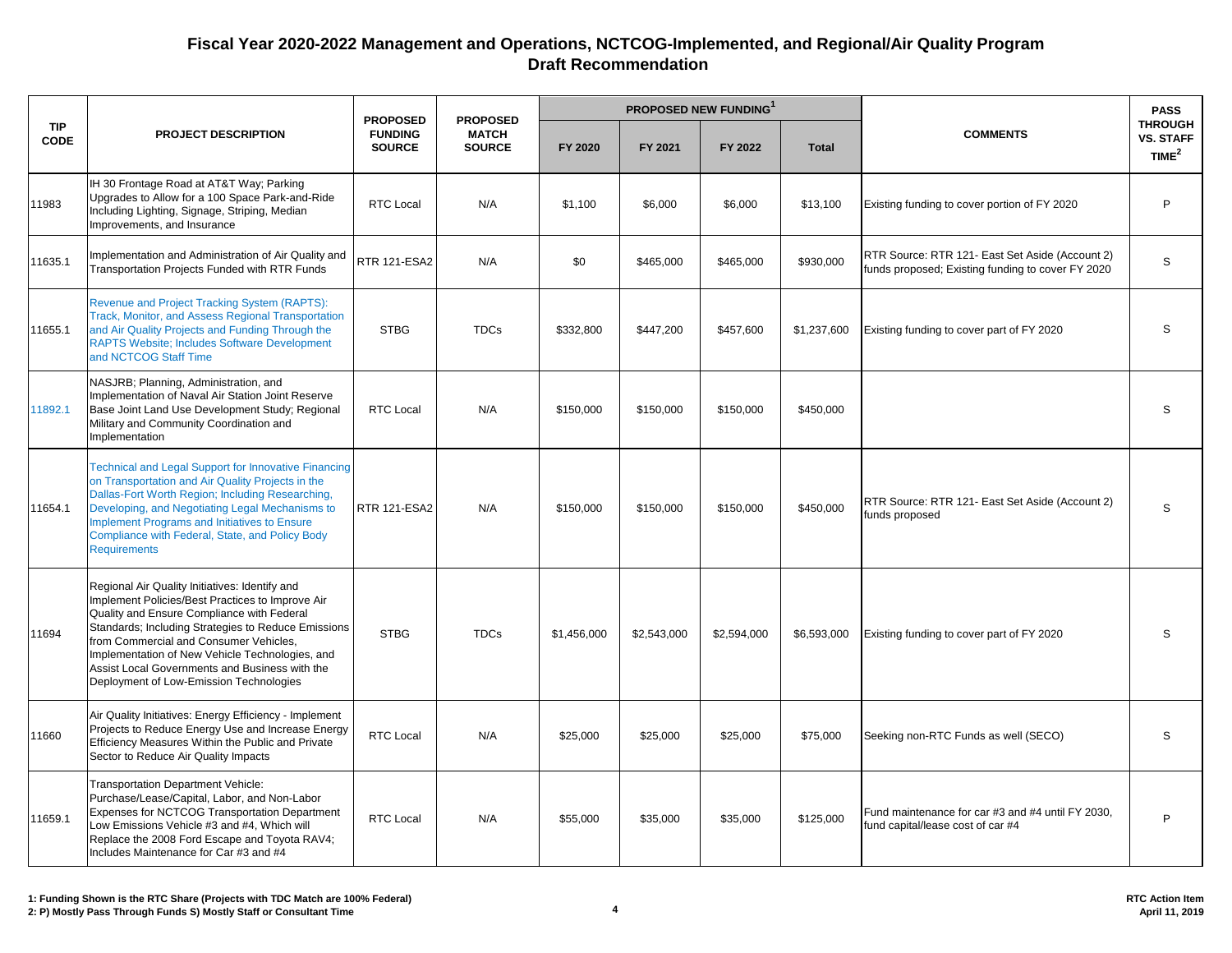|                    |                                                                                                                                                                                                                                                                                                                                                                                                   |                                                    | <b>PROPOSED</b>               | <b>PROPOSED NEW FUNDING</b> |             |             |              |                                                                                                      | <b>PASS</b>                                             |
|--------------------|---------------------------------------------------------------------------------------------------------------------------------------------------------------------------------------------------------------------------------------------------------------------------------------------------------------------------------------------------------------------------------------------------|----------------------------------------------------|-------------------------------|-----------------------------|-------------|-------------|--------------|------------------------------------------------------------------------------------------------------|---------------------------------------------------------|
| <b>TIP</b><br>CODE | <b>PROJECT DESCRIPTION</b>                                                                                                                                                                                                                                                                                                                                                                        | <b>PROPOSED</b><br><b>FUNDING</b><br><b>SOURCE</b> | <b>MATCH</b><br><b>SOURCE</b> | FY 2020                     | FY 2021     | FY 2022     | <b>Total</b> | <b>COMMENTS</b>                                                                                      | <b>THROUGH</b><br><b>VS. STAFF</b><br>TIME <sup>2</sup> |
| 11983              | IH 30 Frontage Road at AT&T Way; Parking<br>Upgrades to Allow for a 100 Space Park-and-Ride<br>Including Lighting, Signage, Striping, Median<br>Improvements, and Insurance                                                                                                                                                                                                                       | <b>RTC Local</b>                                   | N/A                           | \$1,100                     | \$6,000     | \$6,000     | \$13,100     | Existing funding to cover portion of FY 2020                                                         | P                                                       |
| 11635.1            | Implementation and Administration of Air Quality and<br>Transportation Projects Funded with RTR Funds                                                                                                                                                                                                                                                                                             | <b>RTR 121-ESA2</b>                                | N/A                           | \$0                         | \$465,000   | \$465,000   | \$930,000    | RTR Source: RTR 121- East Set Aside (Account 2)<br>funds proposed; Existing funding to cover FY 2020 | S                                                       |
| 11655.1            | Revenue and Project Tracking System (RAPTS):<br>Track, Monitor, and Assess Regional Transportation<br>and Air Quality Projects and Funding Through the<br><b>RAPTS Website: Includes Software Development</b><br>and NCTCOG Staff Time                                                                                                                                                            | <b>STBG</b>                                        | <b>TDCs</b>                   | \$332,800                   | \$447,200   | \$457,600   | \$1,237,600  | Existing funding to cover part of FY 2020                                                            | S                                                       |
| 11892.1            | NASJRB; Planning, Administration, and<br>Implementation of Naval Air Station Joint Reserve<br>Base Joint Land Use Development Study; Regional<br>Military and Community Coordination and<br>Implementation                                                                                                                                                                                        | <b>RTC Local</b>                                   | N/A                           | \$150,000                   | \$150,000   | \$150,000   | \$450,000    |                                                                                                      | S                                                       |
| 11654.1            | <b>Technical and Legal Support for Innovative Financing</b><br>on Transportation and Air Quality Projects in the<br>Dallas-Fort Worth Region; Including Researching,<br>Developing, and Negotiating Legal Mechanisms to<br>Implement Programs and Initiatives to Ensure<br>Compliance with Federal, State, and Policy Body<br><b>Requirements</b>                                                 | <b>RTR 121-ESA2</b>                                | N/A                           | \$150,000                   | \$150,000   | \$150,000   | \$450,000    | RTR Source: RTR 121- East Set Aside (Account 2)<br>funds proposed                                    | S                                                       |
| 11694              | Regional Air Quality Initiatives: Identify and<br>Implement Policies/Best Practices to Improve Air<br>Quality and Ensure Compliance with Federal<br>Standards; Including Strategies to Reduce Emissions<br>from Commercial and Consumer Vehicles,<br>Implementation of New Vehicle Technologies, and<br>Assist Local Governments and Business with the<br>Deployment of Low-Emission Technologies | <b>STBG</b>                                        | <b>TDCs</b>                   | \$1,456,000                 | \$2,543,000 | \$2,594,000 | \$6,593,000  | Existing funding to cover part of FY 2020                                                            | S                                                       |
| 11660              | Air Quality Initiatives: Energy Efficiency - Implement<br>Projects to Reduce Energy Use and Increase Energy<br>Efficiency Measures Within the Public and Private<br>Sector to Reduce Air Quality Impacts                                                                                                                                                                                          | <b>RTC Local</b>                                   | N/A                           | \$25,000                    | \$25,000    | \$25,000    | \$75,000     | Seeking non-RTC Funds as well (SECO)                                                                 | S                                                       |
| 11659.1            | <b>Transportation Department Vehicle:</b><br>Purchase/Lease/Capital, Labor, and Non-Labor<br>Expenses for NCTCOG Transportation Department<br>Low Emissions Vehicle #3 and #4, Which will<br>Replace the 2008 Ford Escape and Toyota RAV4;<br>Includes Maintenance for Car #3 and #4                                                                                                              | <b>RTC Local</b>                                   | N/A                           | \$55,000                    | \$35,000    | \$35,000    | \$125,000    | Fund maintenance for car #3 and #4 until FY 2030,<br>und capital/lease cost of car #4                | P                                                       |

**RTC Action Item April 11, 2019**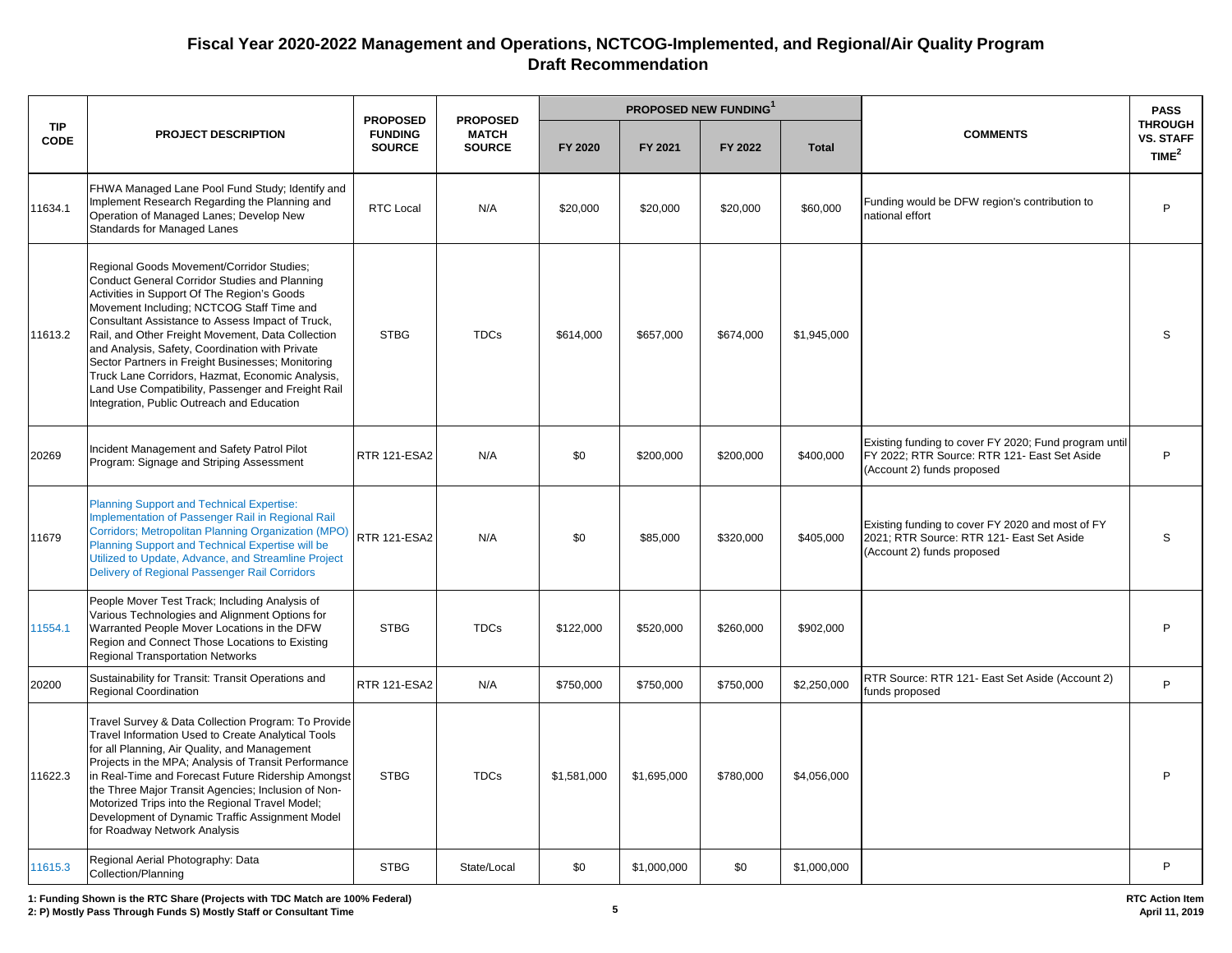|                           |                                                                                                                                                                                                                                                                                                                                                                                                                                                                                                                                                                        | <b>PROPOSED</b>                 | <b>PROPOSED</b>               |             | <b>PROPOSED NEW FUNDING</b> |           |              |                                                                                                                                     | <b>PASS</b>                                    |
|---------------------------|------------------------------------------------------------------------------------------------------------------------------------------------------------------------------------------------------------------------------------------------------------------------------------------------------------------------------------------------------------------------------------------------------------------------------------------------------------------------------------------------------------------------------------------------------------------------|---------------------------------|-------------------------------|-------------|-----------------------------|-----------|--------------|-------------------------------------------------------------------------------------------------------------------------------------|------------------------------------------------|
| <b>TIP</b><br><b>CODE</b> | <b>PROJECT DESCRIPTION</b>                                                                                                                                                                                                                                                                                                                                                                                                                                                                                                                                             | <b>FUNDING</b><br><b>SOURCE</b> | <b>MATCH</b><br><b>SOURCE</b> | FY 2020     | FY 2021                     | FY 2022   | <b>Total</b> | <b>COMMENTS</b>                                                                                                                     | <b>THROUGH</b><br><b>VS. STAFF</b><br>TIME $2$ |
| 11634.1                   | FHWA Managed Lane Pool Fund Study; Identify and<br>Implement Research Regarding the Planning and<br>Operation of Managed Lanes; Develop New<br>Standards for Managed Lanes                                                                                                                                                                                                                                                                                                                                                                                             | <b>RTC Local</b>                | N/A                           | \$20,000    | \$20,000                    | \$20,000  | \$60,000     | Funding would be DFW region's contribution to<br>national effort                                                                    | P                                              |
| 11613.2                   | Regional Goods Movement/Corridor Studies;<br><b>Conduct General Corridor Studies and Planning</b><br>Activities in Support Of The Region's Goods<br>Movement Including: NCTCOG Staff Time and<br>Consultant Assistance to Assess Impact of Truck,<br>Rail, and Other Freight Movement, Data Collection<br>and Analysis, Safety, Coordination with Private<br>Sector Partners in Freight Businesses; Monitoring<br>Truck Lane Corridors, Hazmat, Economic Analysis,<br>Land Use Compatibility, Passenger and Freight Rail<br>Integration, Public Outreach and Education | <b>STBG</b>                     | <b>TDCs</b>                   | \$614,000   | \$657,000                   | \$674,000 | \$1,945,000  |                                                                                                                                     | S                                              |
| 20269                     | Incident Management and Safety Patrol Pilot<br>Program: Signage and Striping Assessment                                                                                                                                                                                                                                                                                                                                                                                                                                                                                | <b>RTR 121-ESA2</b>             | N/A                           | \$0         | \$200.000                   | \$200,000 | \$400.000    | Existing funding to cover FY 2020; Fund program until<br>FY 2022: RTR Source: RTR 121- East Set Aside<br>(Account 2) funds proposed | P                                              |
| 11679                     | <b>Planning Support and Technical Expertise:</b><br>Implementation of Passenger Rail in Regional Rail<br>Corridors; Metropolitan Planning Organization (MPO)<br>Planning Support and Technical Expertise will be<br>Utilized to Update, Advance, and Streamline Project<br>Delivery of Regional Passenger Rail Corridors                                                                                                                                                                                                                                               | <b>RTR 121-ESA2</b>             | N/A                           | \$0         | \$85,000                    | \$320,000 | \$405,000    | Existing funding to cover FY 2020 and most of FY<br>2021; RTR Source: RTR 121- East Set Aside<br>(Account 2) funds proposed         | S                                              |
| 11554.1                   | People Mover Test Track; Including Analysis of<br>Various Technologies and Alignment Options for<br>Warranted People Mover Locations in the DFW<br>Region and Connect Those Locations to Existing<br>Regional Transportation Networks                                                                                                                                                                                                                                                                                                                                  | <b>STBG</b>                     | <b>TDCs</b>                   | \$122,000   | \$520,000                   | \$260,000 | \$902,000    |                                                                                                                                     | P                                              |
| 20200                     | Sustainability for Transit: Transit Operations and<br>Regional Coordination                                                                                                                                                                                                                                                                                                                                                                                                                                                                                            | RTR 121-ESA2                    | N/A                           | \$750,000   | \$750,000                   | \$750,000 | \$2,250,000  | RTR Source: RTR 121- East Set Aside (Account 2)<br>funds proposed                                                                   | P                                              |
| 11622.3                   | Travel Survey & Data Collection Program: To Provide<br>Travel Information Used to Create Analytical Tools<br>for all Planning, Air Quality, and Management<br>Projects in the MPA; Analysis of Transit Performance<br>in Real-Time and Forecast Future Ridership Amongst<br>the Three Major Transit Agencies; Inclusion of Non-<br>Motorized Trips into the Regional Travel Model;<br>Development of Dynamic Traffic Assignment Model<br>for Roadway Network Analysis                                                                                                  | <b>STBG</b>                     | <b>TDCs</b>                   | \$1,581,000 | \$1,695,000                 | \$780,000 | \$4,056,000  |                                                                                                                                     | P                                              |
| 11615.3                   | Regional Aerial Photography: Data<br>Collection/Planning                                                                                                                                                                                                                                                                                                                                                                                                                                                                                                               | <b>STBG</b>                     | State/Local                   | \$0         | \$1,000,000                 | \$0       | \$1,000,000  |                                                                                                                                     | P                                              |

**1: Funding Shown is the RTC Share (Projects with TDC Match are 100% Federal)**

**2: P) Mostly Pass Through Funds S) Mostly Staff or Consultant Time 5**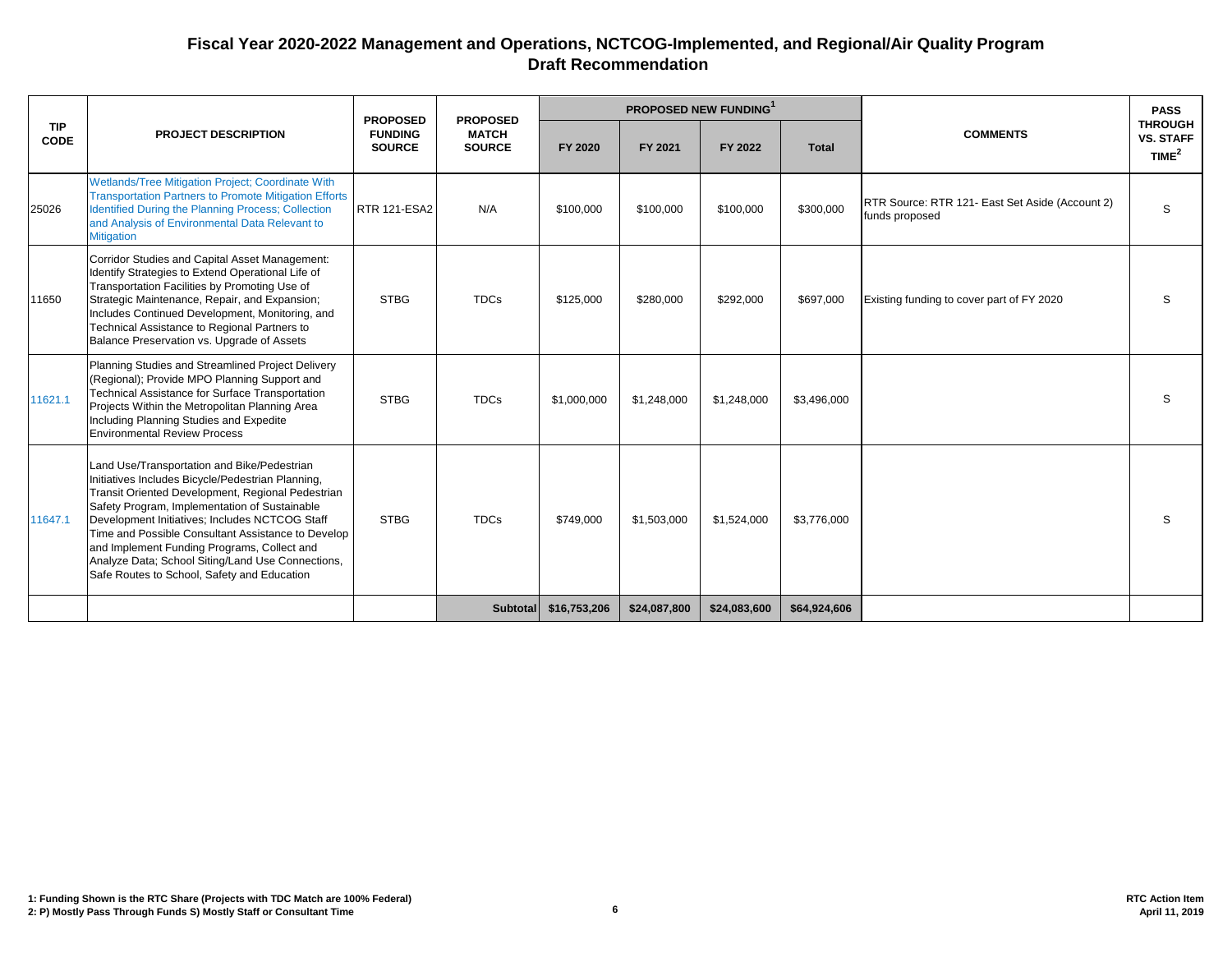|                    |                                                                                                                                                                                                                                                                                                                                                                                                                                                                   | <b>PROPOSED</b>                 | <b>PROPOSED</b>               |              |              | <b>PROPOSED NEW FUNDING</b> |              |                                                                   | <b>PASS</b>                                             |
|--------------------|-------------------------------------------------------------------------------------------------------------------------------------------------------------------------------------------------------------------------------------------------------------------------------------------------------------------------------------------------------------------------------------------------------------------------------------------------------------------|---------------------------------|-------------------------------|--------------|--------------|-----------------------------|--------------|-------------------------------------------------------------------|---------------------------------------------------------|
| <b>TIP</b><br>CODE | <b>PROJECT DESCRIPTION</b>                                                                                                                                                                                                                                                                                                                                                                                                                                        | <b>FUNDING</b><br><b>SOURCE</b> | <b>MATCH</b><br><b>SOURCE</b> | FY 2020      | FY 2021      | FY 2022                     | <b>Total</b> | <b>COMMENTS</b>                                                   | <b>THROUGH</b><br><b>VS. STAFF</b><br>TIME <sup>2</sup> |
| 25026              | <b>Wetlands/Tree Mitigation Project: Coordinate With</b><br><b>Transportation Partners to Promote Mitigation Efforts</b><br>Identified During the Planning Process; Collection<br>and Analysis of Environmental Data Relevant to<br><b>Mitigation</b>                                                                                                                                                                                                             | <b>RTR 121-ESA2</b>             | N/A                           | \$100,000    | \$100.000    | \$100,000                   | \$300,000    | RTR Source: RTR 121- East Set Aside (Account 2)<br>funds proposed | S                                                       |
| 11650              | Corridor Studies and Capital Asset Management:<br>Identify Strategies to Extend Operational Life of<br>Transportation Facilities by Promoting Use of<br>Strategic Maintenance, Repair, and Expansion;<br>Includes Continued Development, Monitoring, and<br>Technical Assistance to Regional Partners to<br>Balance Preservation vs. Upgrade of Assets                                                                                                            | <b>STBG</b>                     | <b>TDCs</b>                   | \$125,000    | \$280,000    | \$292,000                   | \$697,000    | Existing funding to cover part of FY 2020                         | S                                                       |
| 11621.1            | Planning Studies and Streamlined Project Delivery<br>(Regional); Provide MPO Planning Support and<br>Technical Assistance for Surface Transportation<br>Projects Within the Metropolitan Planning Area<br>Including Planning Studies and Expedite<br><b>Environmental Review Process</b>                                                                                                                                                                          | <b>STBG</b>                     | <b>TDCs</b>                   | \$1,000,000  | \$1,248,000  | \$1,248,000                 | \$3,496,000  |                                                                   | S                                                       |
| 11647.1            | Land Use/Transportation and Bike/Pedestrian<br>Initiatives Includes Bicycle/Pedestrian Planning,<br>Transit Oriented Development, Regional Pedestrian<br>Safety Program, Implementation of Sustainable<br>Development Initiatives; Includes NCTCOG Staff<br>Time and Possible Consultant Assistance to Develop<br>and Implement Funding Programs, Collect and<br>Analyze Data; School Siting/Land Use Connections,<br>Safe Routes to School, Safety and Education | <b>STBG</b>                     | <b>TDCs</b>                   | \$749,000    | \$1,503,000  | \$1,524,000                 | \$3,776,000  |                                                                   | S                                                       |
|                    |                                                                                                                                                                                                                                                                                                                                                                                                                                                                   |                                 | <b>Subtotal</b>               | \$16,753,206 | \$24,087,800 | \$24,083,600                | \$64,924,606 |                                                                   |                                                         |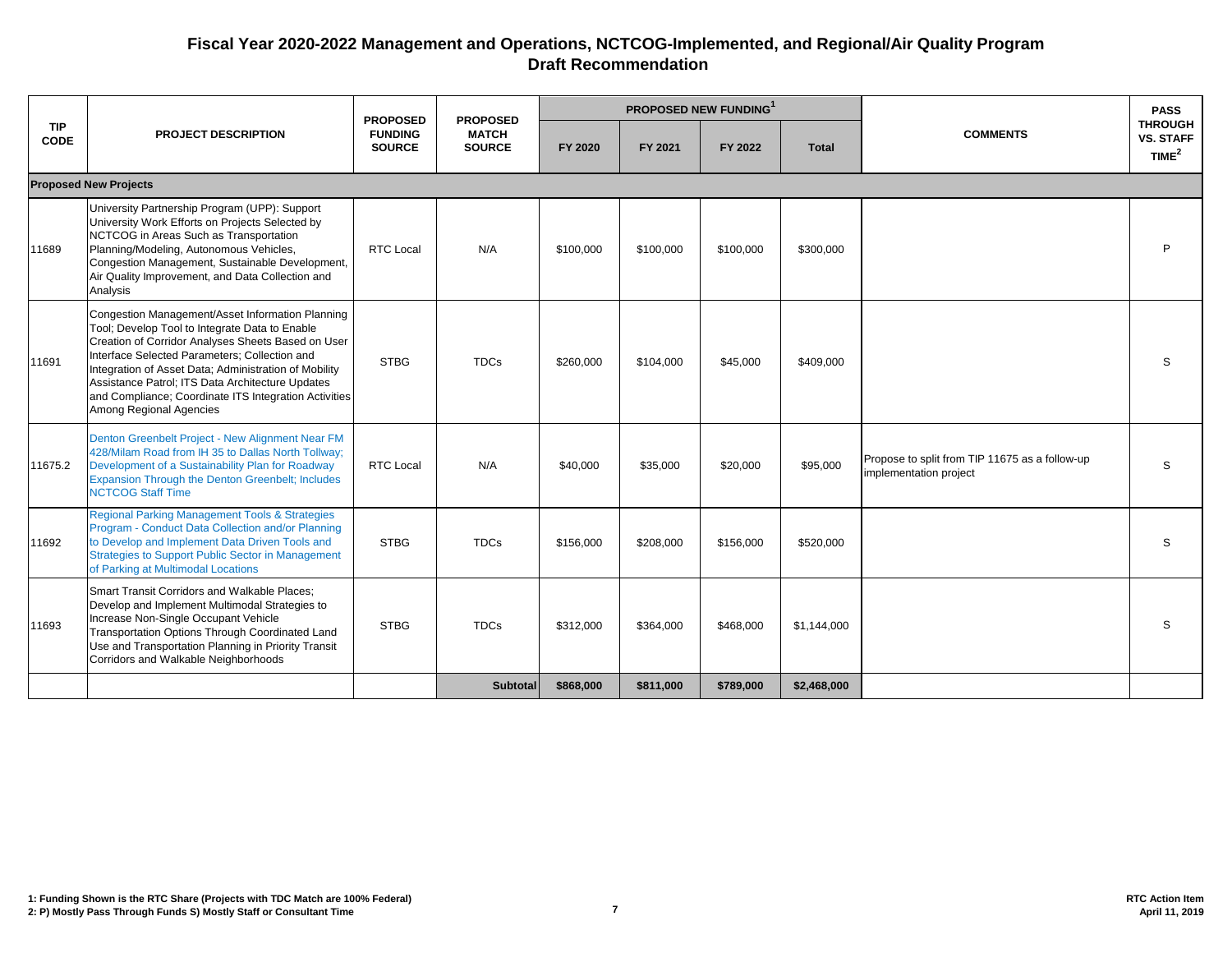|                           |                                                                                                                                                                                                                                                                                                                                                                                                            | <b>PROPOSED</b>                 | <b>PROPOSED</b>               |           |           | <b>PROPOSED NEW FUNDING</b> |              |                                                                          | <b>PASS</b><br><b>THROUGH</b><br><b>VS. STAFF</b><br>TIME <sup>2</sup> |
|---------------------------|------------------------------------------------------------------------------------------------------------------------------------------------------------------------------------------------------------------------------------------------------------------------------------------------------------------------------------------------------------------------------------------------------------|---------------------------------|-------------------------------|-----------|-----------|-----------------------------|--------------|--------------------------------------------------------------------------|------------------------------------------------------------------------|
| <b>TIP</b><br><b>CODE</b> | <b>PROJECT DESCRIPTION</b>                                                                                                                                                                                                                                                                                                                                                                                 | <b>FUNDING</b><br><b>SOURCE</b> | <b>MATCH</b><br><b>SOURCE</b> | FY 2020   | FY 2021   | FY 2022                     | <b>Total</b> | <b>COMMENTS</b>                                                          |                                                                        |
|                           | <b>Proposed New Projects</b>                                                                                                                                                                                                                                                                                                                                                                               |                                 |                               |           |           |                             |              |                                                                          |                                                                        |
| 11689                     | University Partnership Program (UPP): Support<br>University Work Efforts on Projects Selected by<br>NCTCOG in Areas Such as Transportation<br>Planning/Modeling, Autonomous Vehicles,<br>Congestion Management, Sustainable Development,<br>Air Quality Improvement, and Data Collection and<br>Analysis                                                                                                   | <b>RTC Local</b>                | N/A                           | \$100,000 | \$100,000 | \$100,000                   | \$300,000    |                                                                          | P                                                                      |
| 11691                     | Congestion Management/Asset Information Planning<br>Tool; Develop Tool to Integrate Data to Enable<br>Creation of Corridor Analyses Sheets Based on User<br>Interface Selected Parameters; Collection and<br>Integration of Asset Data; Administration of Mobility<br>Assistance Patrol; ITS Data Architecture Updates<br>and Compliance; Coordinate ITS Integration Activities<br>Among Regional Agencies | <b>STBG</b>                     | <b>TDCs</b>                   | \$260,000 | \$104,000 | \$45,000                    | \$409,000    |                                                                          | S                                                                      |
| 11675.2                   | Denton Greenbelt Project - New Alignment Near FM<br>428/Milam Road from IH 35 to Dallas North Tollway;<br>Development of a Sustainability Plan for Roadway<br>Expansion Through the Denton Greenbelt; Includes<br><b>NCTCOG Staff Time</b>                                                                                                                                                                 | <b>RTC Local</b>                | N/A                           | \$40,000  | \$35,000  | \$20,000                    | \$95,000     | Propose to split from TIP 11675 as a follow-up<br>implementation project | S                                                                      |
| 11692                     | Regional Parking Management Tools & Strategies<br>Program - Conduct Data Collection and/or Planning<br>to Develop and Implement Data Driven Tools and<br><b>Strategies to Support Public Sector in Management</b><br>of Parking at Multimodal Locations                                                                                                                                                    | <b>STBG</b>                     | <b>TDCs</b>                   | \$156,000 | \$208,000 | \$156,000                   | \$520,000    |                                                                          | S                                                                      |
| 11693                     | <b>Smart Transit Corridors and Walkable Places;</b><br>Develop and Implement Multimodal Strategies to<br>Increase Non-Single Occupant Vehicle<br>Transportation Options Through Coordinated Land<br>Use and Transportation Planning in Priority Transit<br>Corridors and Walkable Neighborhoods                                                                                                            | <b>STBG</b>                     | <b>TDCs</b>                   | \$312,000 | \$364,000 | \$468,000                   | \$1,144,000  |                                                                          | S                                                                      |
|                           |                                                                                                                                                                                                                                                                                                                                                                                                            |                                 | <b>Subtotal</b>               | \$868,000 | \$811,000 | \$789,000                   | \$2,468,000  |                                                                          |                                                                        |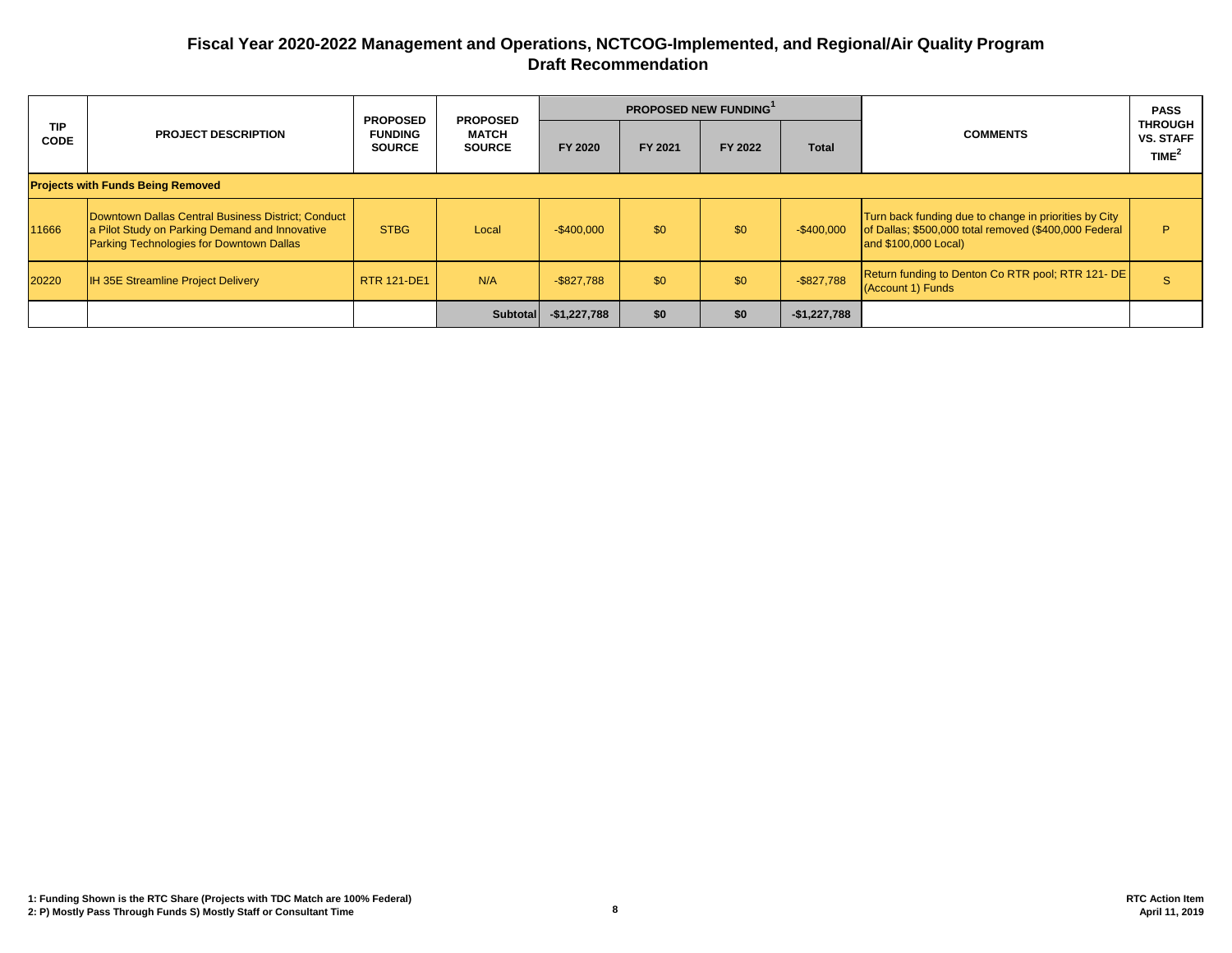|                           | <b>PROJECT DESCRIPTION</b>                                                                                                                       | <b>PROPOSED</b><br><b>FUNDING</b><br><b>SOURCE</b> | <b>PROPOSED</b><br><b>MATCH</b><br><b>SOURCE</b> |               | <b>PROPOSED NEW FUNDING'</b> |         |               |                                                                                                                                        | <b>PASS</b>                                             |  |
|---------------------------|--------------------------------------------------------------------------------------------------------------------------------------------------|----------------------------------------------------|--------------------------------------------------|---------------|------------------------------|---------|---------------|----------------------------------------------------------------------------------------------------------------------------------------|---------------------------------------------------------|--|
| <b>TIP</b><br><b>CODE</b> |                                                                                                                                                  |                                                    |                                                  | FY 2020       | FY 2021                      | FY 2022 | <b>Total</b>  | <b>COMMENTS</b>                                                                                                                        | <b>THROUGH</b><br><b>VS. STAFF</b><br>TIME <sup>2</sup> |  |
|                           | <b>Projects with Funds Being Removed</b>                                                                                                         |                                                    |                                                  |               |                              |         |               |                                                                                                                                        |                                                         |  |
| 11666                     | Downtown Dallas Central Business District; Conduct<br>a Pilot Study on Parking Demand and Innovative<br>Parking Technologies for Downtown Dallas | <b>STBG</b>                                        | Local                                            | $-$ \$400,000 | \$0                          | \$0     | $-$400,000$   | Turn back funding due to change in priorities by City<br>of Dallas; \$500,000 total removed (\$400,000 Federal<br>and \$100,000 Local) | P                                                       |  |
| 20220                     | <b>IH 35E Streamline Project Delivery</b>                                                                                                        | <b>RTR 121-DE1</b>                                 | N/A                                              | $-$ \$827,788 | \$0                          | \$0     | $-$ \$827,788 | Return funding to Denton Co RTR pool; RTR 121- DE<br>(Account 1) Funds                                                                 |                                                         |  |
|                           |                                                                                                                                                  |                                                    | <b>Subtotal</b>                                  | $-$1,227,788$ | \$0                          | \$0     | $-$1,227,788$ |                                                                                                                                        |                                                         |  |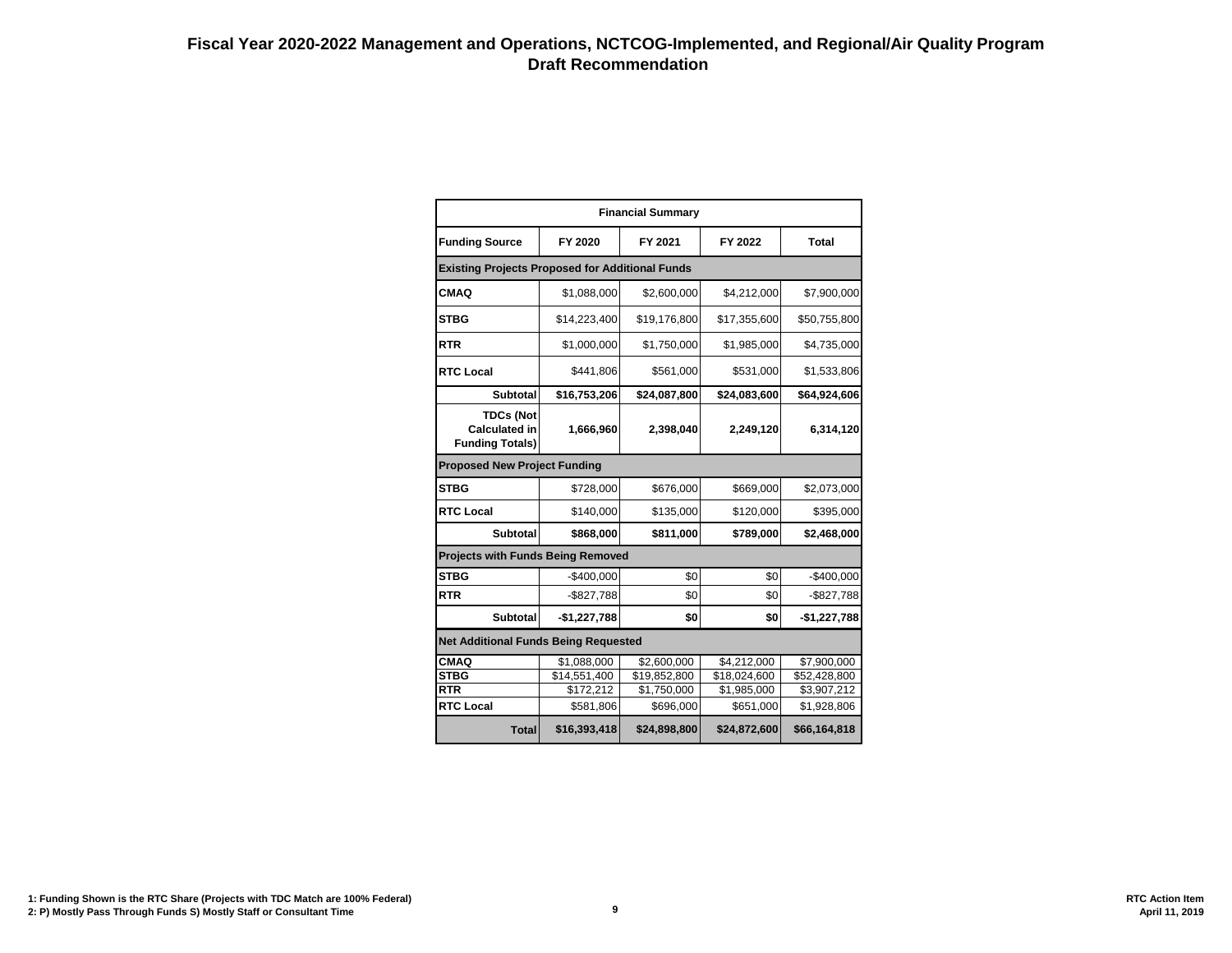|                                                                    | <b>Financial Summary</b> |              |              |               |  |  |  |  |  |  |  |  |
|--------------------------------------------------------------------|--------------------------|--------------|--------------|---------------|--|--|--|--|--|--|--|--|
| <b>Funding Source</b>                                              | FY 2020                  | FY 2021      | FY 2022      | <b>Total</b>  |  |  |  |  |  |  |  |  |
| <b>Existing Projects Proposed for Additional Funds</b>             |                          |              |              |               |  |  |  |  |  |  |  |  |
| <b>CMAQ</b>                                                        | \$1,088,000              | \$2,600,000  | \$4,212,000  | \$7,900,000   |  |  |  |  |  |  |  |  |
| <b>STBG</b>                                                        | \$14,223,400             | \$19,176,800 | \$17,355,600 | \$50,755,800  |  |  |  |  |  |  |  |  |
| <b>RTR</b>                                                         | \$1,000,000              | \$1,750,000  | \$1,985,000  | \$4,735,000   |  |  |  |  |  |  |  |  |
| <b>RTC Local</b>                                                   | \$441,806                | \$561,000    | \$531,000    | \$1,533,806   |  |  |  |  |  |  |  |  |
| <b>Subtotal</b>                                                    | \$16,753,206             | \$24,087,800 | \$24,083,600 | \$64,924,606  |  |  |  |  |  |  |  |  |
| <b>TDCs (Not</b><br><b>Calculated in</b><br><b>Funding Totals)</b> | 1,666,960                | 2,398,040    | 2,249,120    | 6,314,120     |  |  |  |  |  |  |  |  |
| <b>Proposed New Project Funding</b>                                |                          |              |              |               |  |  |  |  |  |  |  |  |
| <b>STBG</b>                                                        | \$728,000                | \$676,000    | \$669,000    | \$2,073,000   |  |  |  |  |  |  |  |  |
| <b>RTC Local</b>                                                   | \$140,000                | \$135,000    | \$120,000    | \$395,000     |  |  |  |  |  |  |  |  |
| <b>Subtotal</b>                                                    | \$868,000                | \$811,000    | \$789,000    | \$2,468,000   |  |  |  |  |  |  |  |  |
| <b>Projects with Funds Being Removed</b>                           |                          |              |              |               |  |  |  |  |  |  |  |  |
| <b>STBG</b>                                                        | $-$400,000$              | \$0          | \$0          | $-$400,000$   |  |  |  |  |  |  |  |  |
| RTR                                                                | $-$827,788$              | \$0          | \$0          | $-$ \$827,788 |  |  |  |  |  |  |  |  |
| <b>Subtotal</b>                                                    | $-$1,227,788$            | \$0          | \$0          | $-$1,227,788$ |  |  |  |  |  |  |  |  |
| <b>Net Additional Funds Being Requested</b>                        |                          |              |              |               |  |  |  |  |  |  |  |  |
| <b>CMAQ</b>                                                        | \$1,088,000              | \$2,600,000  | \$4,212,000  | \$7,900,000   |  |  |  |  |  |  |  |  |
| <b>STBG</b>                                                        | \$14,551,400             | \$19,852,800 | \$18,024,600 | \$52,428,800  |  |  |  |  |  |  |  |  |
| <b>RTR</b>                                                         | \$172,212                | \$1,750,000  | \$1,985,000  | \$3,907,212   |  |  |  |  |  |  |  |  |
| <b>RTC Local</b>                                                   | \$581,806                | \$696,000    | \$651,000    | \$1,928,806   |  |  |  |  |  |  |  |  |
| <b>Total</b>                                                       | \$16,393,418             | \$24,898,800 | \$24,872,600 | \$66,164,818  |  |  |  |  |  |  |  |  |